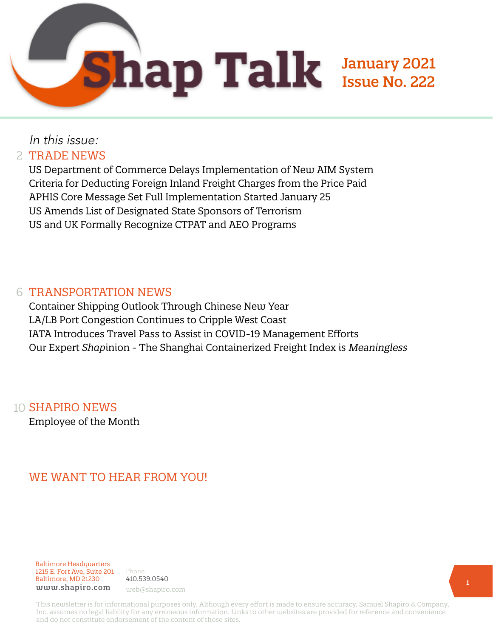

## In this issue:

#### 2 TRADE NEWS

US Department of Commerce Delays Implementation of New AIM System Criteria for Deducting Foreign Inland Freight Charges from the Price Paid APHIS Core Message Set Full Implementation Started January 25 US Amends List of Designated State Sponsors of Terrorism US and UK Formally Recognize CTPAT and AEO Programs

#### 6 TRANSPORTATION NEWS

Container Shipping Outlook Through Chinese New Year LA/LB Port Congestion Continues to Cripple West Coast IATA Introduces Travel Pass to Assist in COVID-19 Management Efforts Our Expert *Shap*inion - The Shanghai Containerized Freight Index is Meaningless

#### 10 **SHAPIRO NEWS**

Employee of the Month

## WE WANT TO HEAR FROM YOU!

Baltimore Headquarters 1215 E. Fort Ave, Suite 201 Baltimore, MD 21230 www.shapiro.com web@shapiro.com

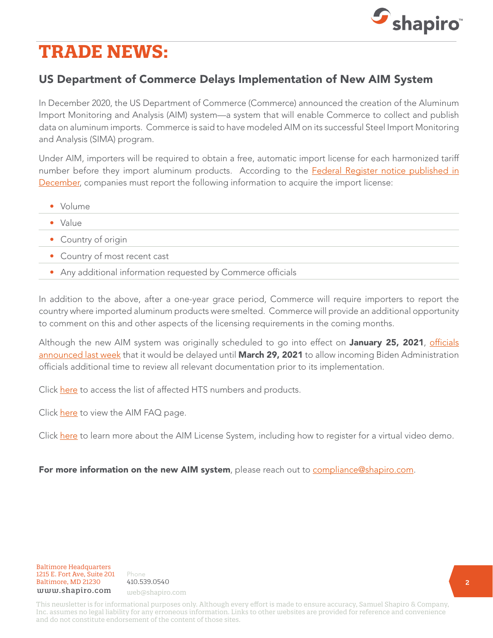

# **TRADE NEWS:**

## US Department of Commerce Delays Implementation of New AIM System

In December 2020, the US Department of Commerce (Commerce) announced the creation of the Aluminum Import Monitoring and Analysis (AIM) system—a system that will enable Commerce to collect and publish data on aluminum imports. Commerce is said to have modeled AIM on its successful Steel Import Monitoring and Analysis (SIMA) program.

Under AIM, importers will be required to obtain a free, automatic import license for each harmonized tariff number before they import aluminum products. According to the [Federal Register notice published in](https://www.federalregister.gov/d/2020-28166) [December,](https://www.federalregister.gov/d/2020-28166) companies must report the following information to acquire the import license:

- Volume
- Value
- Country of origin
- Country of most recent cast
- Any additional information requested by Commerce officials

In addition to the above, after a one-year grace period, Commerce will require importers to report the country where imported aluminum products were smelted. Commerce will provide an additional opportunity to comment on this and other aspects of the licensing requirements in the coming months.

Although the new AIM system was originally scheduled to go into effect on January 25, 2021, [officials](https://www.shapiro.com/alerts/us-delays-implementation-of-aim-system-until-march-29-2021/) [announced last week](https://www.shapiro.com/alerts/us-delays-implementation-of-aim-system-until-march-29-2021/) that it would be delayed until March 29, 2021 to allow incoming Biden Administration officials additional time to review all relevant documentation prior to its implementation.

Click [here](https://www.trade.gov/aluminum-products-hts-codes) to access the list of affected HTS numbers and products.

Click [here](https://www.trade.gov/faq/aim-system-faqs) to view the AIM FAQ page.

Click [here](https://www.trade.gov/updates-aluminum-import-licensing) to learn more about the AIM License System, including how to register for a virtual video demo.

#### For more information on the new AIM system, please reach out to [compliance@shapiro.com.](mailto:compliance%40shapiro.com?subject=)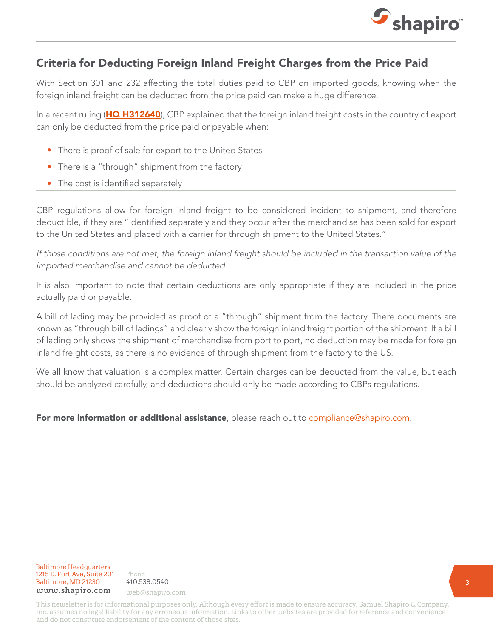

### Criteria for Deducting Foreign Inland Freight Charges from the Price Paid

With Section 301 and 232 affecting the total duties paid to CBP on imported goods, knowing when the foreign inland freight can be deducted from the price paid can make a huge difference.

In a recent ruling ([HQ H312640](https://rulings.cbp.gov/ruling/H312640)), CBP explained that the foreign inland freight costs in the country of export can only be deducted from the price paid or payable when:

- There is proof of sale for export to the United States
- There is a "through" shipment from the factory
- The cost is identified separately

CBP regulations allow for foreign inland freight to be considered incident to shipment, and therefore deductible, if they are "identified separately and they occur after the merchandise has been sold for export to the United States and placed with a carrier for through shipment to the United States."

If those conditions are not met, the foreign inland freight should be included in the transaction value of the imported merchandise and cannot be deducted.

It is also important to note that certain deductions are only appropriate if they are included in the price actually paid or payable.

A bill of lading may be provided as proof of a "through" shipment from the factory. There documents are known as "through bill of ladings" and clearly show the foreign inland freight portion of the shipment. If a bill of lading only shows the shipment of merchandise from port to port, no deduction may be made for foreign inland freight costs, as there is no evidence of through shipment from the factory to the US.

We all know that valuation is a complex matter. Certain charges can be deducted from the value, but each should be analyzed carefully, and deductions should only be made according to CBPs regulations.

For more information or additional assistance, please reach out to [compliance@shapiro.com.](mailto:compliance%40shapiro.com?subject=)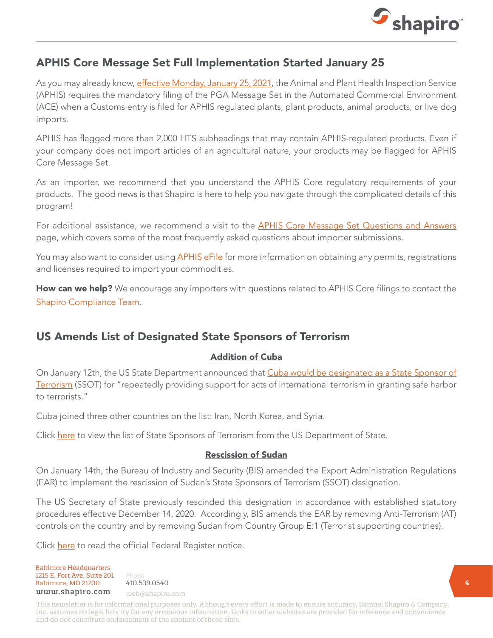

### APHIS Core Message Set Full Implementation Started January 25

As you may already know, [effective Monday, January 25, 2021](https://www.shapiro.com/alerts/aphis-core-message-set-full-implementation-starts-january-25th/), the Animal and Plant Health Inspection Service (APHIS) requires the mandatory filing of the PGA Message Set in the Automated Commercial Environment (ACE) when a Customs entry is filed for APHIS regulated plants, plant products, animal products, or live dog imports.

APHIS has flagged more than 2,000 HTS subheadings that may contain APHIS-regulated products. Even if your company does not import articles of an agricultural nature, your products may be flagged for APHIS Core Message Set.

As an importer, we recommend that you understand the APHIS Core regulatory requirements of your products. The good news is that Shapiro is here to help you navigate through the complicated details of this program!

For additional assistance, we recommend a visit to the **APHIS Core Message Set Questions and Answers** page, which covers some of the most frequently asked questions about importer submissions.

You may also want to consider using **APHIS eFile** for more information on obtaining any permits, registrations and licenses required to import your commodities.

How can we help? We encourage any importers with questions related to APHIS Core filings to contact the [Shapiro Compliance Team](mailto:compliance%40shapiro.com?subject=).

### US Amends List of Designated State Sponsors of Terrorism

#### Addition of Cuba

On January 12th, the US State Department announced that [Cuba would be designated as a State Sponsor of](https://www.shapiro.com/alerts/us-designates-cuba-as-state-sponsor-of-terrorism/) [Terrorism](https://www.shapiro.com/alerts/us-designates-cuba-as-state-sponsor-of-terrorism/) (SSOT) for "repeatedly providing support for acts of international terrorism in granting safe harbor to terrorists."

Cuba joined three other countries on the list: Iran, North Korea, and Syria.

Click [here](https://translations.state.gov/2021/01/11/u-s-announces-designation-of-cuba-as-a-state-sponsor-of-terrorism/) to view the list of State Sponsors of Terrorism from the US Department of State.

#### Rescission of Sudan

On January 14th, the Bureau of Industry and Security (BIS) amended the Export Administration Regulations (EAR) to implement the rescission of Sudan's State Sponsors of Terrorism (SSOT) designation.

The US Secretary of State previously rescinded this designation in accordance with established statutory procedures effective December 14, 2020. Accordingly, BIS amends the EAR by removing Anti-Terrorism (AT) controls on the country and by removing Sudan from Country Group E:1 (Terrorist supporting countries).

Click [here](https://www.govinfo.gov/content/pkg/FR-2021-01-19/pdf/2020-29037.pdf) to read the official Federal Register notice.

Baltimore Headquarters Baltimore Headquarters<br>
1215 E. Fort Ave, Suite 201 Phone<br>
Baltimore, MD 21230 410.539.0540<br>  $\frac{1}{2}$ Baltimore, MD 21230 410.539.0540 1215 E. Fort Ave, Suite 201 www.shapiro.com web@shapiro.com

Phone **1998** 410.539.0540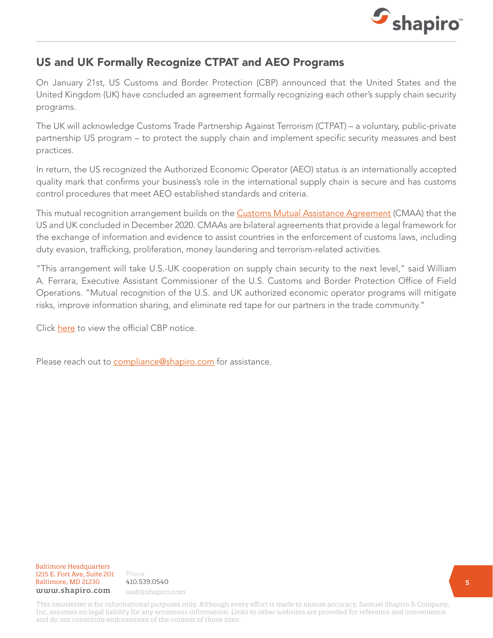

## US and UK Formally Recognize CTPAT and AEO Programs

On January 21st, US Customs and Border Protection (CBP) announced that the United States and the United Kingdom (UK) have concluded an agreement formally recognizing each other's supply chain security programs.

The UK will acknowledge Customs Trade Partnership Against Terrorism (CTPAT) – a voluntary, public-private partnership US program – to protect the supply chain and implement specific security measures and best practices.

In return, the US recognized the Authorized Economic Operator (AEO) status is an internationally accepted quality mark that confirms your business's role in the international supply chain is secure and has customs control procedures that meet AEO established standards and criteria.

This mutual recognition arrangement builds on the **Customs Mutual Assistance Agreement** (CMAA) that the US and UK concluded in December 2020. CMAAs are bilateral agreements that provide a legal framework for the exchange of information and evidence to assist countries in the enforcement of customs laws, including duty evasion, trafficking, proliferation, money laundering and terrorism-related activities.

"This arrangement will take U.S.-UK cooperation on supply chain security to the next level," said William A. Ferrara, Executive Assistant Commissioner of the U.S. Customs and Border Protection Office of Field Operations. "Mutual recognition of the U.S. and UK authorized economic operator programs will mitigate risks, improve information sharing, and eliminate red tape for our partners in the trade community."

Click [here](https://www.cbp.gov/newsroom/national-media-release/us-and-uk-conclude-arrangement-strengthen-end-end-supply-chain?_ga=2.97091996.246906351.1611869037-1101639878.1586281071) to view the official CBP notice.

Please reach out to **compliance@shapiro.com** for assistance.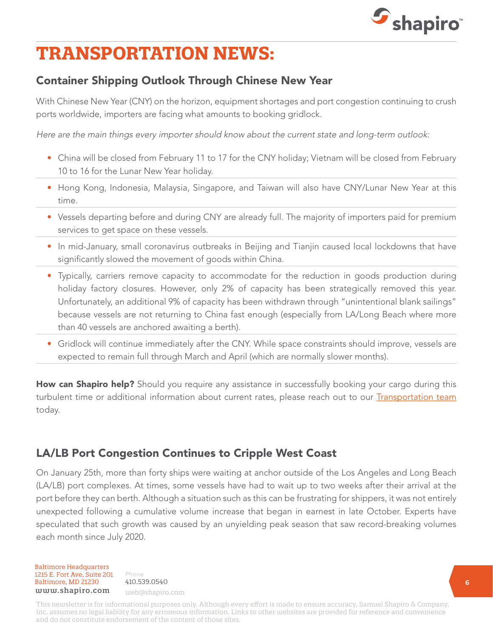

# **TRANSPORTATION NEWS:**

## Container Shipping Outlook Through Chinese New Year

With Chinese New Year (CNY) on the horizon, equipment shortages and port congestion continuing to crush ports worldwide, importers are facing what amounts to booking gridlock.

Here are the main things every importer should know about the current state and long-term outlook:

- China will be closed from February 11 to 17 for the CNY holiday; Vietnam will be closed from February 10 to 16 for the Lunar New Year holiday.
- Hong Kong, Indonesia, Malaysia, Singapore, and Taiwan will also have CNY/Lunar New Year at this time.
- Vessels departing before and during CNY are already full. The majority of importers paid for premium services to get space on these vessels.
- In mid-January, small coronavirus outbreaks in Beijing and Tianjin caused local lockdowns that have significantly slowed the movement of goods within China.
- Typically, carriers remove capacity to accommodate for the reduction in goods production during holiday factory closures. However, only 2% of capacity has been strategically removed this year. Unfortunately, an additional 9% of capacity has been withdrawn through "unintentional blank sailings" because vessels are not returning to China fast enough (especially from LA/Long Beach where more than 40 vessels are anchored awaiting a berth).
- Gridlock will continue immediately after the CNY. While space constraints should improve, vessels are expected to remain full through March and April (which are normally slower months).

**How can Shapiro help?** Should you require any assistance in successfully booking your cargo during this turbulent time or additional information about current rates, please reach out to our [Transportation team](mailto:web%40shapiro.com?subject=) today.

## LA/LB Port Congestion Continues to Cripple West Coast

On January 25th, more than forty ships were waiting at anchor outside of the Los Angeles and Long Beach (LA/LB) port complexes. At times, some vessels have had to wait up to two weeks after their arrival at the port before they can berth. Although a situation such as this can be frustrating for shippers, it was not entirely unexpected following a cumulative volume increase that began in earnest in late October. Experts have speculated that such growth was caused by an unyielding peak season that saw record-breaking volumes each month since July 2020.

Baltimore Headquarters 1215 E. Fort Ave, Suite 201  $Baltimore, MD 21230 410.539.0540$ <br>
uuuu shaniro.com www.shapiro.com web@shapiro.com

Phone **1998** 410.539.0540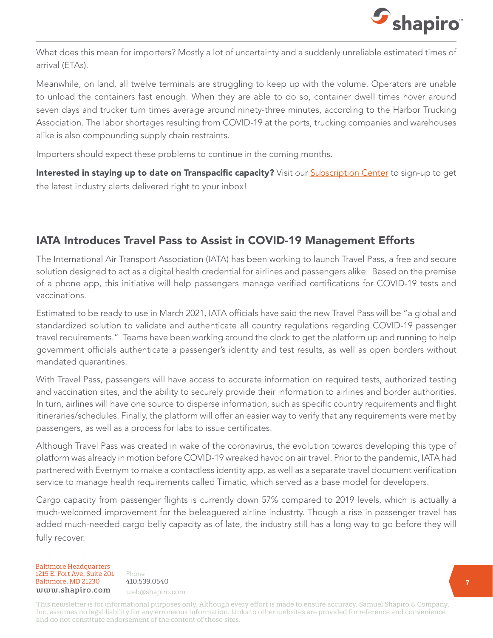

What does this mean for importers? Mostly a lot of uncertainty and a suddenly unreliable estimated times of arrival (ETAs).

Meanwhile, on land, all twelve terminals are struggling to keep up with the volume. Operators are unable to unload the containers fast enough. When they are able to do so, container dwell times hover around seven days and trucker turn times average around ninety-three minutes, according to the Harbor Trucking Association. The labor shortages resulting from COVID-19 at the ports, trucking companies and warehouses alike is also compounding supply chain restraints.

Importers should expect these problems to continue in the coming months.

Interested in staying up to date on Transpacific capacity? Visit our [Subscription Center](https://www.shapiro.com/subscription-center/) to sign-up to get the latest industry alerts delivered right to your inbox!

## IATA Introduces Travel Pass to Assist in COVID-19 Management Efforts

The International Air Transport Association (IATA) has been working to launch Travel Pass, a free and secure solution designed to act as a digital health credential for airlines and passengers alike. Based on the premise of a phone app, this initiative will help passengers manage verified certifications for COVID-19 tests and vaccinations.

Estimated to be ready to use in March 2021, IATA officials have said the new Travel Pass will be "a global and standardized solution to validate and authenticate all country regulations regarding COVID-19 passenger travel requirements." Teams have been working around the clock to get the platform up and running to help government officials authenticate a passenger's identity and test results, as well as open borders without mandated quarantines.

With Travel Pass, passengers will have access to accurate information on required tests, authorized testing and vaccination sites, and the ability to securely provide their information to airlines and border authorities. In turn, airlines will have one source to disperse information, such as specific country requirements and flight itineraries/schedules. Finally, the platform will offer an easier way to verify that any requirements were met by passengers, as well as a process for labs to issue certificates.

Although Travel Pass was created in wake of the coronavirus, the evolution towards developing this type of platform was already in motion before COVID-19 wreaked havoc on air travel. Prior to the pandemic, IATA had partnered with Evernym to make a contactless identity app, as well as a separate travel document verification service to manage health requirements called Timatic, which served as a base model for developers.

Cargo capacity from passenger flights is currently down 57% compared to 2019 levels, which is actually a much-welcomed improvement for the beleaguered airline industrty. Though a rise in passenger travel has added much-needed cargo belly capacity as of late, the industry still has a long way to go before they will fully recover.

Baltimore Headquarters **Baltimore Headquarters**<br>**1215 E. Fort Ave, Suite 201** Phone Baltimore, MD 21230 410.539.0540 www.shapiro.com web@shapiro.com

Phone 410.539.0540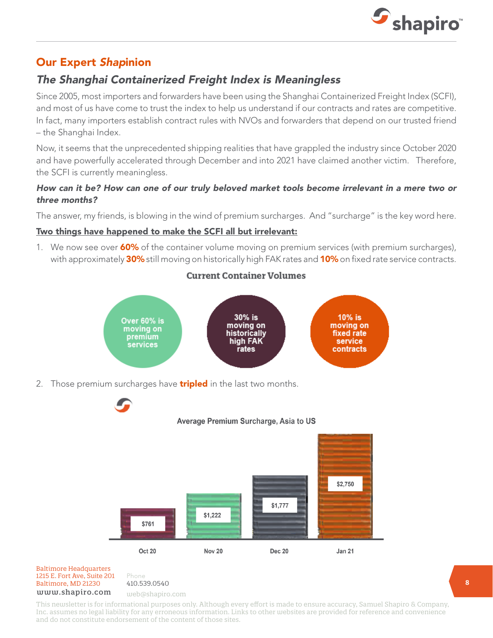

## Our Expert Shapinion

## The Shanghai Containerized Freight Index is Meaningless

Since 2005, most importers and forwarders have been using the Shanghai Containerized Freight Index (SCFI), and most of us have come to trust the index to help us understand if our contracts and rates are competitive. In fact, many importers establish contract rules with NVOs and forwarders that depend on our trusted friend – the Shanghai Index.

Now, it seems that the unprecedented shipping realities that have grappled the industry since October 2020 and have powerfully accelerated through December and into 2021 have claimed another victim. Therefore, the SCFI is currently meaningless.

#### How can it be? How can one of our truly beloved market tools become irrelevant in a mere two or three months?

The answer, my friends, is blowing in the wind of premium surcharges. And "surcharge" is the key word here.

#### Two things have happened to make the SCFI all but irrelevant:

1. We now see over 60% of the container volume moving on premium services (with premium surcharges), with approximately 30% still moving on historically high FAK rates and 10% on fixed rate service contracts.

#### **Current Container Volumes**



2. Those premium surcharges have **tripled** in the last two months.



#### Baltimore, MD 21201 HHHHHHHHHHHH Baltimore Headquarters Baltimore, MD 21230 410.539.0540 1215 E. Fort Ave, Suite 201 www.shapiro.com web@shapiro.com

Phone 410.539.0540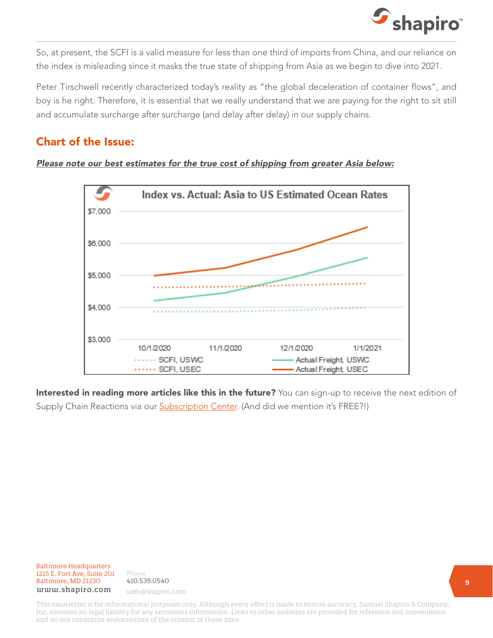

So, at present, the SCFI is a valid measure for less than one third of imports from China, and our reliance on the index is misleading since it masks the true state of shipping from Asia as we begin to dive into 2021.

Peter Tirschwell recently characterized today's reality as "the global deceleration of container flows", and boy is he right. Therefore, it is essential that we really understand that we are paying for the right to sit still and accumulate surcharge after surcharge (and delay after delay) in our supply chains.

## Chart of the Issue:

#### Please note our best estimates for the true cost of shipping from greater Asia below:



Interested in reading more articles like this in the future? You can sign-up to receive the next edition of Supply Chain Reactions via our **Subscription Center**. (And did we mention it's FREE?!)

Baltimore Headquarters 1215 E. Fort Ave, Suite 201 www.shapiro. you@shapiro.com Baltimore, MD 21230 www.shapiro.com web@shapiro.com

Phone 410.539.0540